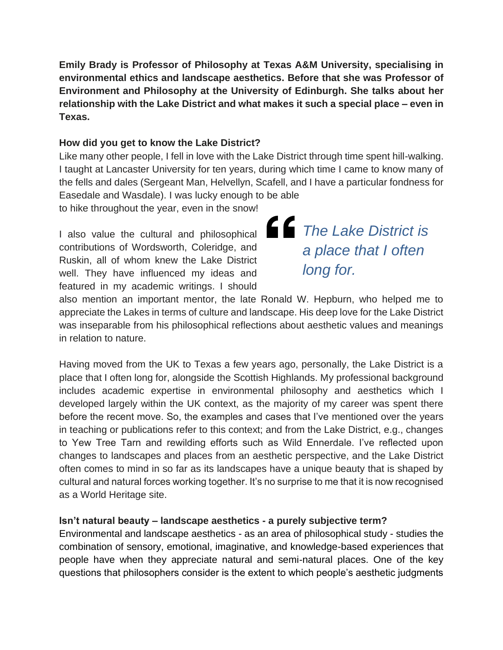**Emily Brady is Professor of Philosophy at Texas A&M University, specialising in environmental ethics and landscape aesthetics. Before that she was Professor of Environment and Philosophy at the University of Edinburgh. She talks about her relationship with the Lake District and what makes it such a special place – even in Texas.**

#### **How did you get to know the Lake District?**

Like many other people, I fell in love with the Lake District through time spent hill-walking. I taught at Lancaster University for ten years, during which time I came to know many of the fells and dales (Sergeant Man, Helvellyn, Scafell, and I have a particular fondness for Easedale and Wasdale). I was lucky enough to be able

to hike throughout the year, even in the snow!

I also value the cultural and philosophical contributions of Wordsworth, Coleridge, and Ruskin, all of whom knew the Lake District well. They have influenced my ideas and featured in my academic writings. I should

*The Lake District is a place that I often long for.*

also mention an important mentor, the late Ronald W. Hepburn, who helped me to appreciate the Lakes in terms of culture and landscape. His deep love for the Lake District was inseparable from his philosophical reflections about aesthetic values and meanings in relation to nature.

Having moved from the UK to Texas a few years ago, personally, the Lake District is a place that I often long for, alongside the Scottish Highlands. My professional background includes academic expertise in environmental philosophy and aesthetics which I developed largely within the UK context, as the majority of my career was spent there before the recent move. So, the examples and cases that I've mentioned over the years in teaching or publications refer to this context; and from the Lake District, e.g., changes to Yew Tree Tarn and rewilding efforts such as Wild Ennerdale. I've reflected upon changes to landscapes and places from an aesthetic perspective, and the Lake District often comes to mind in so far as its landscapes have a unique beauty that is shaped by cultural and natural forces working together. It's no surprise to me that it is now recognised as a World Heritage site.

### **Isn't natural beauty – landscape aesthetics - a purely subjective term?**

Environmental and landscape aesthetics - as an area of philosophical study - studies the combination of sensory, emotional, imaginative, and knowledge-based experiences that people have when they appreciate natural and semi-natural places. One of the key questions that philosophers consider is the extent to which people's aesthetic judgments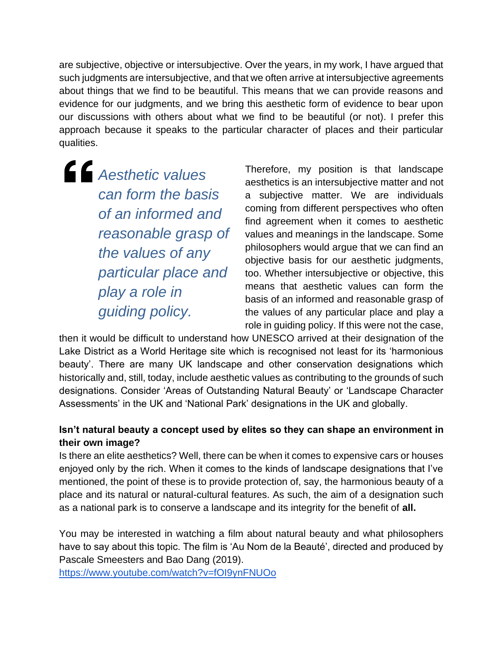are subjective, objective or intersubjective. Over the years, in my work, I have argued that such judgments are intersubjective, and that we often arrive at intersubjective agreements about things that we find to be beautiful. This means that we can provide reasons and evidence for our judgments, and we bring this aesthetic form of evidence to bear upon our discussions with others about what we find to be beautiful (or not). I prefer this approach because it speaks to the particular character of places and their particular qualities.

*Aesthetic values can form the basis of an informed and reasonable grasp of the values of any particular place and play a role in guiding policy.*

Therefore, my position is that landscape aesthetics is an intersubjective matter and not a subjective matter. We are individuals coming from different perspectives who often find agreement when it comes to aesthetic values and meanings in the landscape. Some philosophers would argue that we can find an objective basis for our aesthetic judgments, too. Whether intersubjective or objective, this means that aesthetic values can form the basis of an informed and reasonable grasp of the values of any particular place and play a role in guiding policy. If this were not the case,

then it would be difficult to understand how UNESCO arrived at their designation of the Lake District as a World Heritage site which is recognised not least for its 'harmonious beauty'. There are many UK landscape and other conservation designations which historically and, still, today, include aesthetic values as contributing to the grounds of such designations. Consider 'Areas of Outstanding Natural Beauty' or 'Landscape Character Assessments' in the UK and 'National Park' designations in the UK and globally.

# **Isn't natural beauty a concept used by elites so they can shape an environment in their own image?**

Is there an elite aesthetics? Well, there can be when it comes to expensive cars or houses enjoyed only by the rich. When it comes to the kinds of landscape designations that I've mentioned, the point of these is to provide protection of, say, the harmonious beauty of a place and its natural or natural-cultural features. As such, the aim of a designation such as a national park is to conserve a landscape and its integrity for the benefit of **all.** 

You may be interested in watching a film about natural beauty and what philosophers have to say about this topic. The film is 'Au Nom de la Beauté', directed and produced by Pascale Smeesters and Bao Dang (2019).

<https://www.youtube.com/watch?v=fOI9ynFNUOo>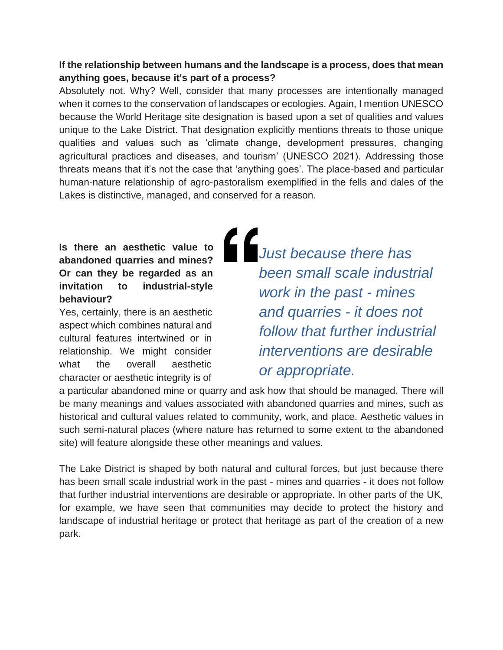### **If the relationship between humans and the landscape is a process, does that mean anything goes, because it's part of a process?**

Absolutely not. Why? Well, consider that many processes are intentionally managed when it comes to the conservation of landscapes or ecologies. Again, I mention UNESCO because the World Heritage site designation is based upon a set of qualities and values unique to the Lake District. That designation explicitly mentions threats to those unique qualities and values such as 'climate change, development pressures, changing agricultural practices and diseases, and tourism' (UNESCO 2021). Addressing those threats means that it's not the case that 'anything goes'. The place-based and particular human-nature relationship of agro-pastoralism exemplified in the fells and dales of the Lakes is distinctive, managed, and conserved for a reason.

# **Is there an aesthetic value to abandoned quarries and mines? Or can they be regarded as an invitation to industrial-style behaviour?**

Yes, certainly, there is an aesthetic aspect which combines natural and cultural features intertwined or in relationship. We might consider what the overall aesthetic character or aesthetic integrity is of

*Just because there has been small scale industrial work in the past - mines and quarries - it does not follow that further industrial interventions are desirable or appropriate.*

a particular abandoned mine or quarry and ask how that should be managed. There will be many meanings and values associated with abandoned quarries and mines, such as historical and cultural values related to community, work, and place. Aesthetic values in such semi-natural places (where nature has returned to some extent to the abandoned site) will feature alongside these other meanings and values.

The Lake District is shaped by both natural and cultural forces, but just because there has been small scale industrial work in the past - mines and quarries - it does not follow that further industrial interventions are desirable or appropriate. In other parts of the UK, for example, we have seen that communities may decide to protect the history and landscape of industrial heritage or protect that heritage as part of the creation of a new park.